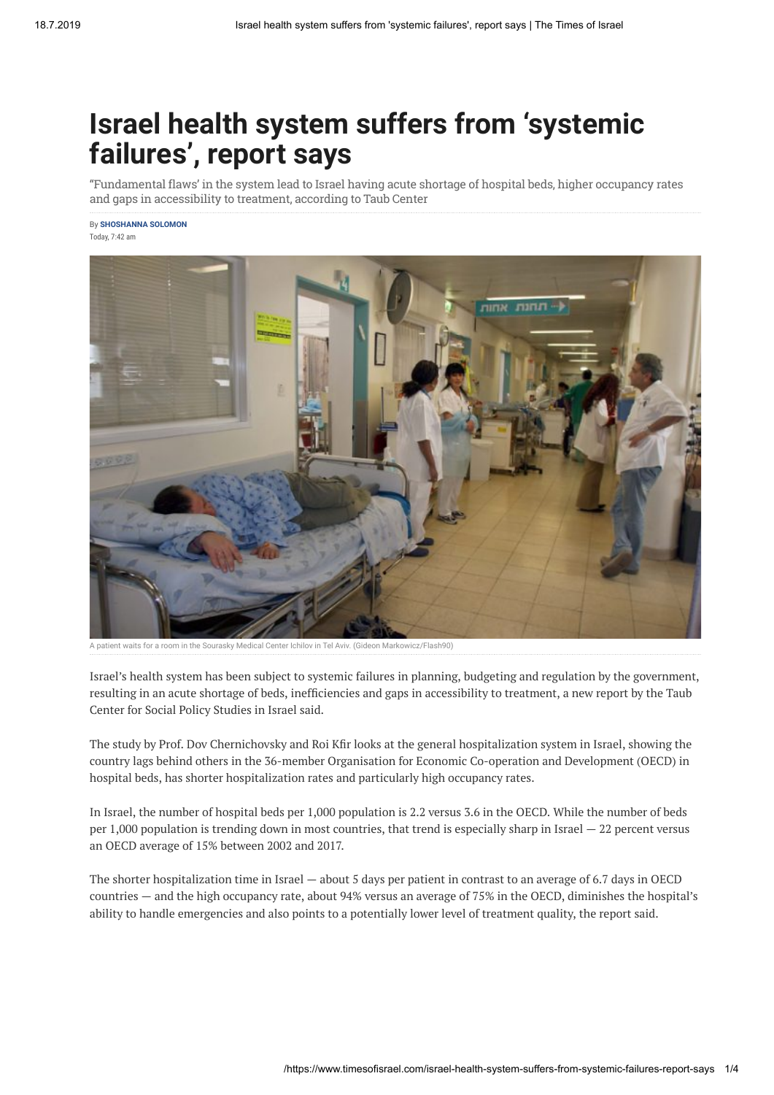# **Israel health system suffers from 'systemic failures', report says**

"Fundamental flaws' in the system lead to Israel having acute shortage of hospital beds, higher occupancy rates and gaps in accessibility to treatment, according to Taub Center

By **[SHOSHANNA SOLOMON](https://www.timesofisrael.com/writers/shoshanna-solomon/)** Today, 7:42 am



A patient waits for a room in the Sourasky Medical Center Ichilov in Tel Aviv. (Gideon Markowicz/Flash90)

Israel's health system has been subject to systemic failures in planning, budgeting and regulation by the government, resulting in an acute shortage of beds, inefficiencies and gaps in accessibility to treatment, a new report by the Taub Center for Social Policy Studies in Israel said.

The study by Prof. Dov Chernichovsky and Roi Kfir looks at the general hospitalization system in Israel, showing the country lags behind others in the 36-member Organisation for Economic Co-operation and Development (OECD) in hospital beds, has shorter hospitalization rates and particularly high occupancy rates.

In Israel, the number of hospital beds per 1,000 population is 2.2 versus 3.6 in the OECD. While the number of beds per 1,000 population is trending down in most countries, that trend is especially sharp in Israel  $-22$  percent versus an OECD average of 15% between 2002 and 2017.

The shorter hospitalization time in Israel — about 5 days per patient in contrast to an average of 6.7 days in OECD countries — and the high occupancy rate, about 94% versus an average of 75% in the OECD, diminishes the hospital's ability to handle emergencies and also points to a potentially lower level of treatment quality, the report said.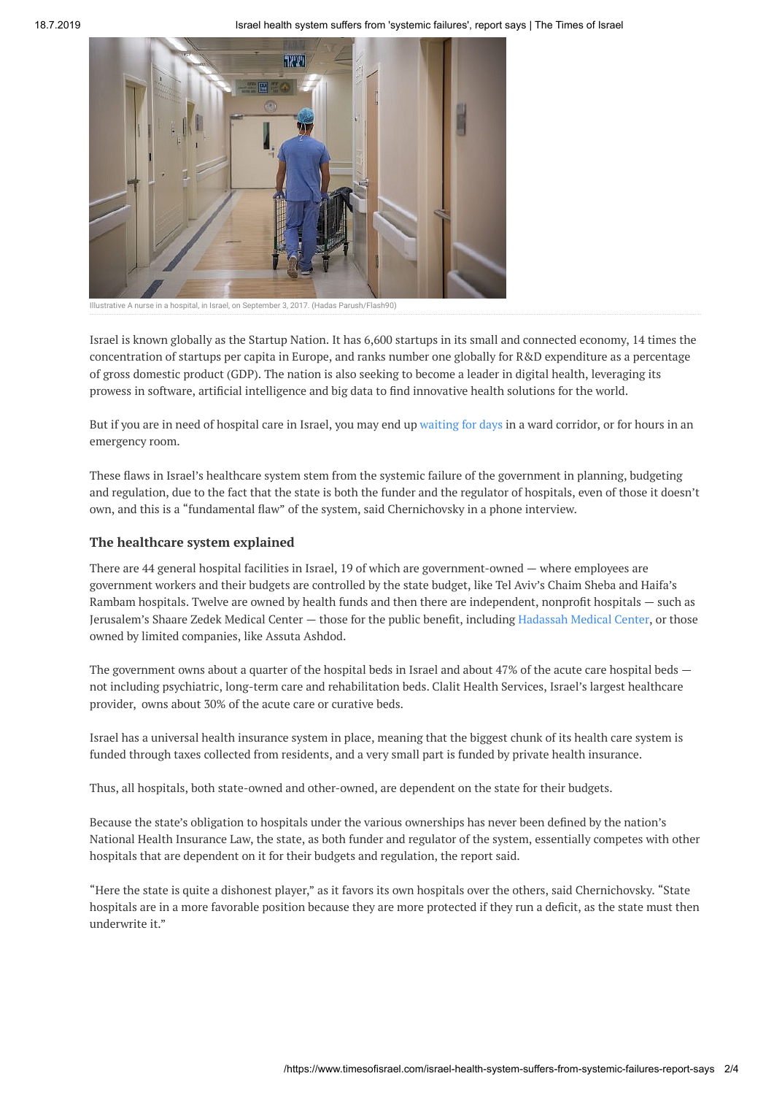

Illustrative A nurse in a hospital, in Israel, on September 3, 2017. (Hadas Parush/Flash90)

Israel is known globally as the Startup Nation. It has 6,600 startups in its small and connected economy, 14 times the concentration of startups per capita in Europe, and ranks number one globally for R&D expenditure as a percentage of gross domestic product (GDP). The nation is also seeking to become a leader in digital health, leveraging its prowess in software, artificial intelligence and big data to find innovative health solutions for the world.

But if you are in need of hospital care in Israel, you may end up [waiting](https://www.timesofisrael.com/corridor-nation-as-hospitals-gasp-for-funds-patients-wait-out-in-the-hallways/) for days in a ward corridor, or for hours in an emergency room.

These flaws in Israel's healthcare system stem from the systemic failure of the government in planning, budgeting and regulation, due to the fact that the state is both the funder and the regulator of hospitals, even of those it doesn't own, and this is a "fundamental flaw" of the system, said Chernichovsky in a phone interview.

#### **The healthcare system explained**

There are 44 general hospital facilities in Israel, 19 of which are government-owned — where employees are government workers and their budgets are controlled by the state budget, like Tel Aviv's Chaim Sheba and Haifa's Rambam hospitals. Twelve are owned by health funds and then there are independent, nonprofit hospitals - such as Jerusalem's Shaare Zedek Medical Center — those for the public benefit, including [Hadassah](https://www.timesofisrael.com/deficit-soaring-hadassah-will-require-years-more-bailout-payments-to-survive/) Medical Center, or those owned by limited companies, like Assuta Ashdod.

The government owns about a quarter of the hospital beds in Israel and about 47% of the acute care hospital beds not including psychiatric, long-term care and rehabilitation beds. Clalit Health Services, Israel's largest healthcare provider, owns about 30% of the acute care or curative beds.

Israel has a universal health insurance system in place, meaning that the biggest chunk of its health care system is funded through taxes collected from residents, and a very small part is funded by private health insurance.

Thus, all hospitals, both state-owned and other-owned, are dependent on the state for their budgets.

Because the state's obligation to hospitals under the various ownerships has never been defined by the nation's National Health Insurance Law, the state, as both funder and regulator of the system, essentially competes with other hospitals that are dependent on it for their budgets and regulation, the report said.

"Here the state is quite a dishonest player," as it favors its own hospitals over the others, said Chernichovsky. "State hospitals are in a more favorable position because they are more protected if they run a deficit, as the state must then underwrite it."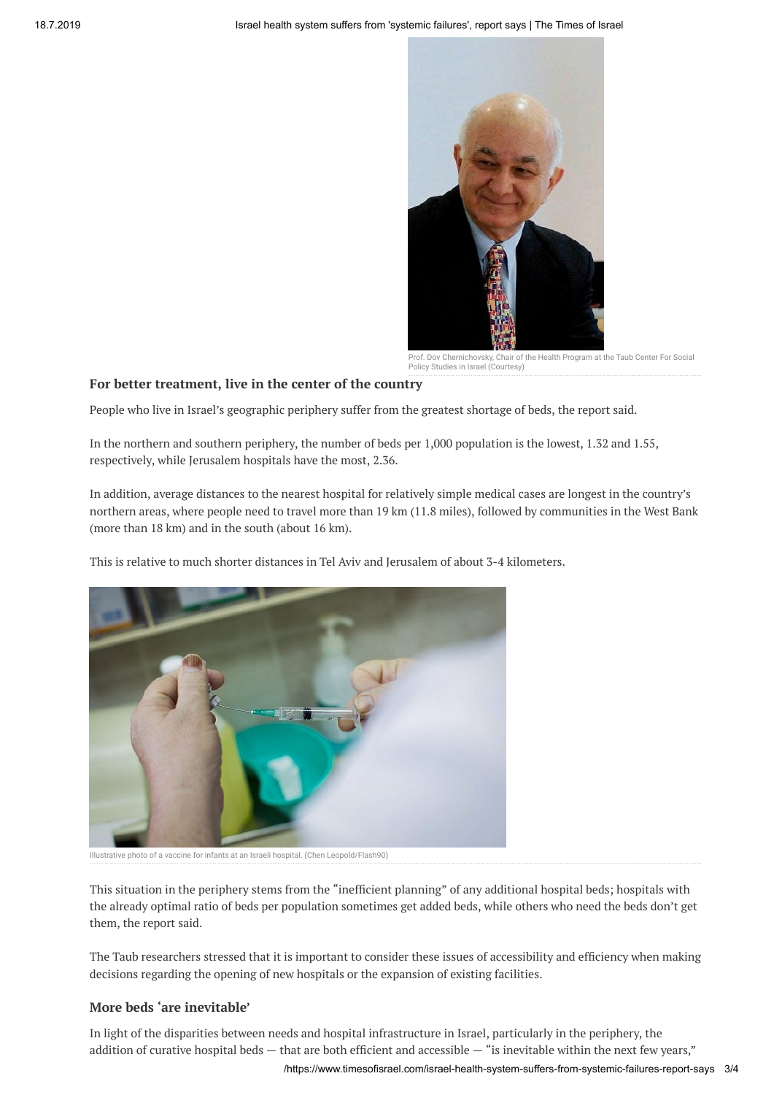

Prof. Dov Chernichovsky, Chair of the Health Program at the Taub Center For Social Policy Studies in Israel (Courtesy)

### **For better treatment, live in the center of the country**

People who live in Israel's geographic periphery suffer from the greatest shortage of beds, the report said.

In the northern and southern periphery, the number of beds per 1,000 population is the lowest, 1.32 and 1.55, respectively, while Jerusalem hospitals have the most, 2.36.

In addition, average distances to the nearest hospital for relatively simple medical cases are longest in the country's northern areas, where people need to travel more than 19 km (11.8 miles), followed by communities in the West Bank (more than 18 km) and in the south (about 16 km).

This is relative to much shorter distances in Tel Aviv and Jerusalem of about 3-4 kilometers.



Illustrative photo of a vaccine for infants at an Israeli hospital. (Chen Leopold/Flash90)

This situation in the periphery stems from the "inefficient planning" of any additional hospital beds; hospitals with the already optimal ratio of beds per population sometimes get added beds, while others who need the beds don't get them, the report said.

The Taub researchers stressed that it is important to consider these issues of accessibility and efficiency when making decisions regarding the opening of new hospitals or the expansion of existing facilities.

## **More beds 'are inevitable'**

In light of the disparities between needs and hospital infrastructure in Israel, particularly in the periphery, the addition of curative hospital beds  $-$  that are both efficient and accessible  $-$  "is inevitable within the next few years,"